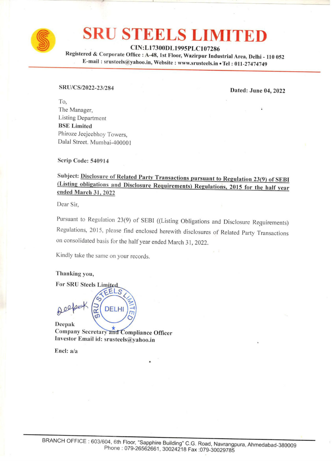

# **SRU STEELS LIMITED** SRU STEE

CIN:L17300DL1995PLC107286

Registered & Corporate Office : A-48, 1st Floor, Wazirpur Industrial Area, Delhi - 110 052<br>E-mail : srusteels@yahoo.in, Website : www.srusteels.in • Tel : 011-27474749

# SRU/CS/2022-23/284 Dated: June 04, <sup>2022</sup>

To, The Manager, Listing Department BSE Limited Phiroze Jeejeebhoy Towers, Dalal Street. Mumbai-400001

Scrip Code: 540914

# Subject: <u>Disclosure of Related Party Transactions pursuant to Regulation 23(9) of SEBI</u><br>(Listing obligations and Disclosure Requirements) Regulations, 2015 for the half year ended March 31, 2022

Dear Sir,

Pursuant to Regulation 23(9) of SEBI ((Listing Obligations and Disclosure Requirements) Regulations, 2015, please find enclosed herewith disclosures of Related Party Transactions on consolidated basis for the half year ended March 31, 2022. Serip Code: 540914<br>
Subject: Disclosure of Related Party Transactions pursuant to Regulations, 2015 for the half year<br>
did March 31, 2022<br>
Deal Since Building 2009 of SEBI ((Listing Obligations and Disclosure Requirements

Kindly take the same on your records.

Thanking you,

For SRU Steels Limite

Company Secretary and Compliance Officer<br>Investor Email id: srusteels@yahoo.in

Encl: a/a